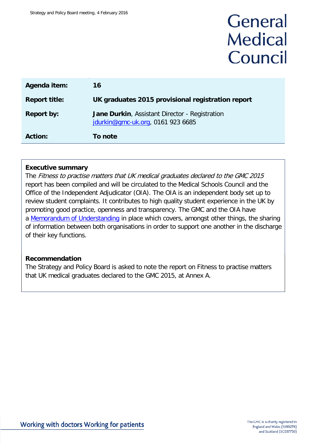# General **Medical** Council

| Agenda item:         | 16                                                                                  |
|----------------------|-------------------------------------------------------------------------------------|
| <b>Report title:</b> | UK graduates 2015 provisional registration report                                   |
| <b>Report by:</b>    | Jane Durkin, Assistant Director - Registration<br>jdurkin@gmc-uk.org, 0161 923 6685 |
| <b>Action:</b>       | To note                                                                             |

#### **Executive summary**

The Fitness to practise matters that UK medical graduates declared to the GMC 2015 report has been compiled and will be circulated to the Medical Schools Council and the Office of the Independent Adjudicator (OIA). The OIA is an independent body set up to review student complaints. It contributes to high quality student experience in the UK by promoting good practice, openness and transparency. The GMC and the OIA have a [Memorandum of Understanding](http://www.oiahe.org.uk/media/104539/oia-gmc%20mou%20nov%202014%20signed.pdf) in place which covers, amongst other things, the sharing of information between both organisations in order to support one another in the discharge of their key functions.

#### **Recommendation**

The Strategy and Policy Board is asked to note the report on Fitness to practise matters that UK medical graduates declared to the GMC 2015, at Annex A.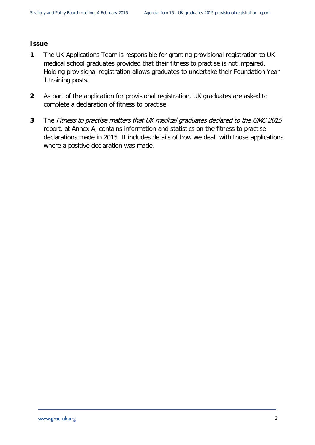#### **Issue**

- **1** The UK Applications Team is responsible for granting provisional registration to UK medical school graduates provided that their fitness to practise is not impaired. Holding provisional registration allows graduates to undertake their Foundation Year 1 training posts.
- **2** As part of the application for provisional registration, UK graduates are asked to complete a declaration of fitness to practise.
- **3** The Fitness to practise matters that UK medical graduates declared to the GMC 2015 report, at Annex A, contains information and statistics on the fitness to practise declarations made in 2015. It includes details of how we dealt with those applications where a positive declaration was made.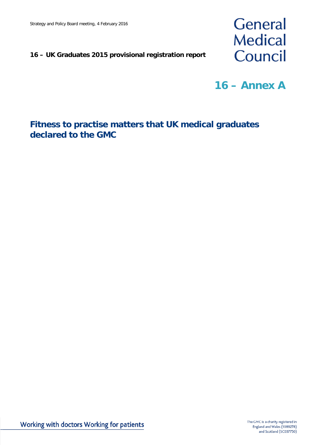#### **16 – UK Graduates 2015 provisional registration report**



**16 – Annex A**

#### **Fitness to practise matters that UK medical graduates declared to the GMC**

Working with doctors Working for patients

The GMC is a charity registered in England and Wales (1089278) and Scotland (SC037750)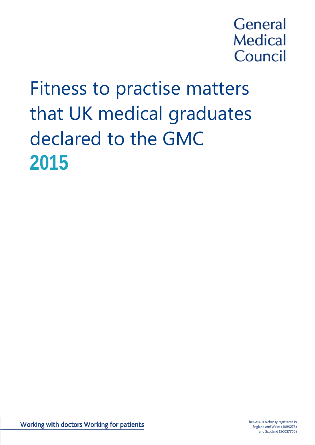# **General Medical** Council

# Fitness to practise matters that UK medical graduates declared to the GMC **2015**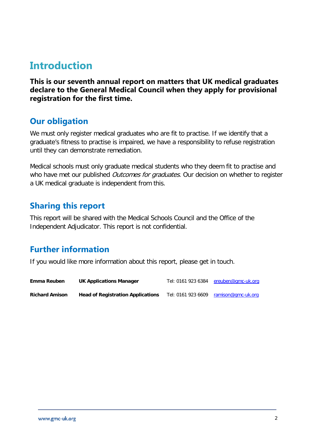# <span id="page-4-0"></span>**Introduction**

**This is our seventh annual report on matters that UK medical graduates declare to the General Medical Council when they apply for provisional registration for the first time.** 

#### <span id="page-4-1"></span>**Our obligation**

We must only register medical graduates who are fit to practise. If we identify that a graduate's fitness to practise is impaired, we have a responsibility to refuse registration until they can demonstrate remediation.

Medical schools must only graduate medical students who they deem fit to practise and who have met our published *Outcomes for graduates*. Our decision on whether to register a UK medical graduate is independent from this.

#### <span id="page-4-2"></span>**Sharing this report**

This report will be shared with the Medical Schools Council and the Office of the Independent Adjudicator. This report is not confidential.

#### <span id="page-4-3"></span>**Further information**

If you would like more information about this report, please get in touch.

| Emma Reuben           | <b>UK Applications Manager</b>           | Tel: 0161 923 6384 | ereuben@gmc-uk.org |
|-----------------------|------------------------------------------|--------------------|--------------------|
| <b>Richard Amison</b> | <b>Head of Registration Applications</b> | Tel: 0161 923 6609 | ramison@gmc-uk.org |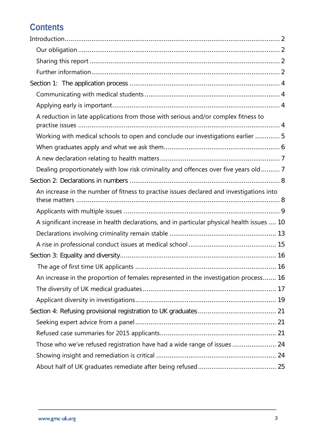## **Contents**

| A reduction in late applications from those with serious and/or complex fitness to          |
|---------------------------------------------------------------------------------------------|
| Working with medical schools to open and conclude our investigations earlier  5             |
|                                                                                             |
|                                                                                             |
| Dealing proportionately with low risk criminality and offences over five years old 7        |
|                                                                                             |
| An increase in the number of fitness to practise issues declared and investigations into    |
|                                                                                             |
| A significant increase in health declarations, and in particular physical health issues  10 |
|                                                                                             |
|                                                                                             |
|                                                                                             |
|                                                                                             |
| An increase in the proportion of females represented in the investigation process 16        |
|                                                                                             |
|                                                                                             |
|                                                                                             |
|                                                                                             |
|                                                                                             |
| Those who we've refused registration have had a wide range of issues  24                    |
|                                                                                             |
|                                                                                             |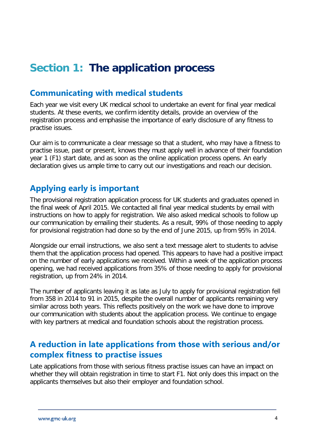# <span id="page-6-0"></span>**Section 1: The application process**

#### <span id="page-6-1"></span>**Communicating with medical students**

Each year we visit every UK medical school to undertake an event for final year medical students. At these events, we confirm identity details, provide an overview of the registration process and emphasise the importance of early disclosure of any fitness to practise issues.

Our aim is to communicate a clear message so that a student, who may have a fitness to practise issue, past or present, knows they must apply well in advance of their foundation year 1 (F1) start date, and as soon as the online application process opens. An early declaration gives us ample time to carry out our investigations and reach our decision.

#### <span id="page-6-2"></span>**Applying early is important**

The provisional registration application process for UK students and graduates opened in the final week of April 2015. We contacted all final year medical students by email with instructions on how to apply for registration. We also asked medical schools to follow up our communication by emailing their students. As a result, 99% of those needing to apply for provisional registration had done so by the end of June 2015, up from 95% in 2014.

Alongside our email instructions, we also sent a text message alert to students to advise them that the application process had opened. This appears to have had a positive impact on the number of early applications we received. Within a week of the application process opening, we had received applications from 35% of those needing to apply for provisional registration, up from 24% in 2014.

The number of applicants leaving it as late as July to apply for provisional registration fell from 358 in 2014 to 91 in 2015, despite the overall number of applicants remaining very similar across both years. This reflects positively on the work we have done to improve our communication with students about the application process. We continue to engage with key partners at medical and foundation schools about the registration process.

#### <span id="page-6-3"></span>**A reduction in late applications from those with serious and/or complex fitness to practise issues**

Late applications from those with serious fitness practise issues can have an impact on whether they will obtain registration in time to start F1. Not only does this impact on the applicants themselves but also their employer and foundation school.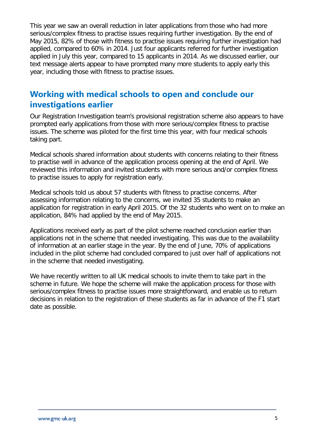This year we saw an overall reduction in later applications from those who had more serious/complex fitness to practise issues requiring further investigation. By the end of May 2015, 82% of those with fitness to practise issues requiring further investigation had applied, compared to 60% in 2014. Just four applicants referred for further investigation applied in July this year, compared to 15 applicants in 2014. As we discussed earlier, our text message alerts appear to have prompted many more students to apply early this year, including those with fitness to practise issues.

#### <span id="page-7-0"></span>**Working with medical schools to open and conclude our investigations earlier**

Our Registration Investigation team's provisional registration scheme also appears to have prompted early applications from those with more serious/complex fitness to practise issues. The scheme was piloted for the first time this year, with four medical schools taking part.

Medical schools shared information about students with concerns relating to their fitness to practise well in advance of the application process opening at the end of April. We reviewed this information and invited students with more serious and/or complex fitness to practise issues to apply for registration early.

Medical schools told us about 57 students with fitness to practise concerns. After assessing information relating to the concerns, we invited 35 students to make an application for registration in early April 2015. Of the 32 students who went on to make an application, 84% had applied by the end of May 2015.

Applications received early as part of the pilot scheme reached conclusion earlier than applications not in the scheme that needed investigating. This was due to the availability of information at an earlier stage in the year. By the end of June, 70% of applications included in the pilot scheme had concluded compared to just over half of applications not in the scheme that needed investigating.

We have recently written to all UK medical schools to invite them to take part in the scheme in future. We hope the scheme will make the application process for those with serious/complex fitness to practise issues more straightforward, and enable us to return decisions in relation to the registration of these students as far in advance of the F1 start date as possible.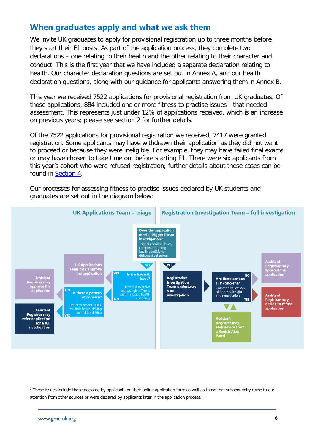#### <span id="page-8-0"></span>**When graduates apply and what we ask them**

We invite UK graduates to apply for provisional registration up to three months before they start their F1 posts. As part of the application process, they complete two declarations – one relating to their health and the other relating to their character and conduct. This is the first year that we have included a separate declaration relating to health. Our character declaration questions are set out in Annex A, and our health declaration questions, along with our guidance for applicants answering them in Annex B.

This year we received 7522 applications for provisional registration from UK graduates. Of those applications, 884 included one or more fitness to practise issues<sup>[1](#page-8-1)</sup> that needed assessment. This represents just under 12% of applications received, which is an increase on previous years; please see section 2 for further details.

Of the 7522 applications for provisional registration we received, 7417 were granted registration. Some applicants may have withdrawn their application as they did not want to proceed or because they were ineligible. For example, they may have failed final exams or may have chosen to take time out before starting F1. There were six applicants from this year's cohort who were refused registration; further details about these cases can be found in [Section 4.](#page-23-0)

Our processes for assessing fitness to practise issues declared by UK students and graduates are set out in the diagram below:



<span id="page-8-1"></span><sup>1</sup> These issues include those declared by applicants on their online application form as well as those that subsequently came to our attention from other sources or were declared by applicants later in the application process.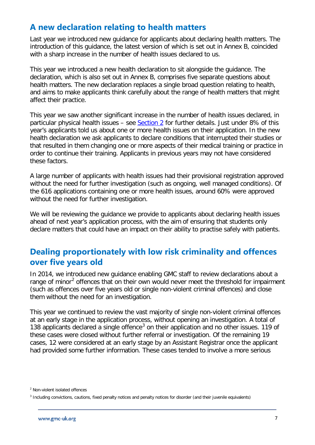#### <span id="page-9-0"></span>**A new declaration relating to health matters**

Last year we introduced new guidance for applicants about declaring health matters. The introduction of this guidance, the latest version of which is set out in Annex B, coincided with a sharp increase in the number of health issues declared to us.

This year we introduced a new health declaration to sit alongside the guidance. The declaration, which is also set out in Annex B, comprises five separate questions about health matters. The new declaration replaces a single broad question relating to health, and aims to make applicants think carefully about the range of health matters that might affect their practice.

This year we saw another significant increase in the number of health issues declared, in particular physical health issues – see  $Section 2$  for further details. Just under 8% of this year's applicants told us about one or more health issues on their application. In the new health declaration we ask applicants to declare conditions that interrupted their studies or that resulted in them changing one or more aspects of their medical training or practice in order to continue their training. Applicants in previous years may not have considered these factors.

A large number of applicants with health issues had their provisional registration approved without the need for further investigation (such as ongoing, well managed conditions). Of the 616 applications containing one or more health issues, around 60% were approved without the need for further investigation.

We will be reviewing the guidance we provide to applicants about declaring health issues ahead of next year's application process, with the aim of ensuring that students only declare matters that could have an impact on their ability to practise safely with patients.

#### <span id="page-9-1"></span>**Dealing proportionately with low risk criminality and offences over five years old**

In 2014, we introduced new guidance enabling GMC staff to review declarations about a range of minor<sup>[2](#page-9-2)</sup> offences that on their own would never meet the threshold for impairment (such as offences over five years old or single non-violent criminal offences) and close them without the need for an investigation.

This year we continued to review the vast majority of single non-violent criminal offences at an early stage in the application process, without opening an investigation. A total of 1[3](#page-9-3)8 applicants declared a single offence<sup>3</sup> on their application and no other issues. 119 of these cases were closed without further referral or investigation. Of the remaining 19 cases, 12 were considered at an early stage by an Assistant Registrar once the applicant had provided some further information. These cases tended to involve a more serious

<span id="page-9-2"></span><sup>2</sup> Non-violent isolated offences

<span id="page-9-3"></span><sup>3</sup> Including convictions, cautions, fixed penalty notices and penalty notices for disorder (and their juvenile equivalents)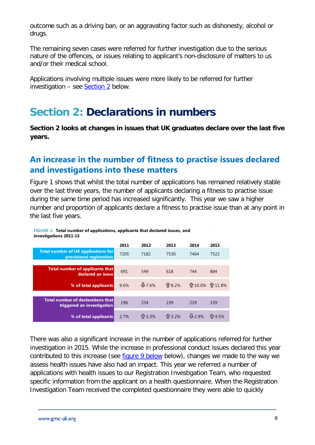outcome such as a driving ban, or an aggravating factor such as dishonesty, alcohol or drugs.

The remaining seven cases were referred for further investigation due to the serious nature of the offences, or issues relating to applicant's non-disclosure of matters to us and/or their medical school.

Applications involving multiple issues were more likely to be referred for further investigation – see  $Section 2$  below.

# <span id="page-10-0"></span>**Section 2: Declarations in numbers**

**Section 2 looks at changes in issues that UK graduates declare over the last five years.** 

#### <span id="page-10-1"></span>**An increase in the number of fitness to practise issues declared and investigations into these matters**

Figure 1 shows that whilst the total number of applications has remained relatively stable over the last three years, the number of applicants declaring a fitness to practise issue during the same time period has increased significantly. This year we saw a higher number and proportion of applicants declare a fitness to practise issue than at any point in the last five years.

#### **FIGURE 1: Total number of applications, applicants that declared issues, and investigations 2011-15**

|                                                                        | 2011 | 2012    | 2013  | 2014          | 2015  |
|------------------------------------------------------------------------|------|---------|-------|---------------|-------|
| <b>Total number of UK applications for</b><br>provisional registration | 7205 | 7182    | 7530  | 7464          | 7522  |
|                                                                        |      |         |       |               |       |
| <b>Total number of applicants that</b><br>declared an issue            | 691  | 549     | 618   | 744           | 884   |
| % of total applicants                                                  | 9.6% | $-7.6%$ | 令8.2% | ←10.0% ←11.8% |       |
|                                                                        |      |         |       |               |       |
| <b>Total number of declarations that</b><br>triggered an investigation | 196  | 234     | 239   | 219           | 339   |
| % of total applicants                                                  | 2.7% | 1 3.3%  | 13.2% | 12.9%         | 14.5% |

There was also a significant increase in the number of applications referred for further investigation in 2015. While the increase in professional conduct issues declared this year contributed to this increase (see [figure 9 below](#page-17-0) below), changes we made to the way we assess health issues have also had an impact. This year we referred a number of applications with health issues to our Registration Investigation Team, who requested specific information from the applicant on a health questionnaire. When the Registration Investigation Team received the completed questionnaire they were able to quickly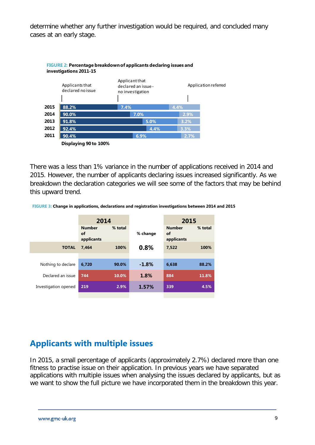determine whether any further investigation would be required, and concluded many cases at an early stage.



There was a less than 1% variance in the number of applications received in 2014 and 2015. However, the number of applicants declaring issues increased significantly. As we breakdown the declaration categories we will see some of the factors that may be behind this upward trend.

**FIGURE 3: Change in applications, declarations and registration investigations between 2014 and 2015**

|                      | 2014                              |         |          | 2015                              |         |
|----------------------|-----------------------------------|---------|----------|-----------------------------------|---------|
|                      | <b>Number</b><br>of<br>applicants | % total | % change | <b>Number</b><br>οf<br>applicants | % total |
| <b>TOTAL</b>         | 7.464                             | 100%    | 0.8%     | 7,522                             | 100%    |
|                      |                                   |         |          |                                   |         |
| Nothing to declare   | 6.720                             | 90.0%   | $-1.8%$  | 6,638                             | 88.2%   |
| Declared an issue    | 744                               | 10.0%   | 1.8%     | 884                               | 11.8%   |
| Investigation opened | 219                               | 2.9%    | 1.57%    | 339                               | 4.5%    |
|                      |                                   |         |          |                                   |         |

#### <span id="page-11-0"></span>**Applicants with multiple issues**

In 2015, a small percentage of applicants (approximately 2.7%) declared more than one fitness to practise issue on their application. In previous years we have separated applications with multiple issues when analysing the issues declared by applicants, but as we want to show the full picture we have incorporated them in the breakdown this year.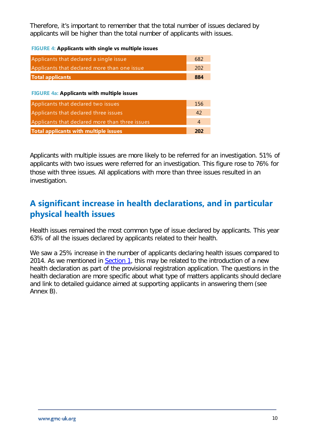Therefore, it's important to remember that the total number of issues declared by applicants will be higher than the total number of applicants with issues.

**FIGURE 4: Applicants with single vs multiple issues**

| Applicants that declared a single issue           | 682            |
|---------------------------------------------------|----------------|
| Applicants that declared more than one issue      | 202            |
| <b>Total applicants</b>                           | 884            |
| <b>FIGURE 4a: Applicants with multiple issues</b> |                |
| Applicants that declared two issues               | 156            |
| Applicants that declared three issues             | 42             |
| Applicants that declared more than three issues   | $\overline{4}$ |
| Total applicants with multiple issues             | 202            |

Applicants with multiple issues are more likely to be referred for an investigation. 51% of applicants with two issues were referred for an investigation. This figure rose to 76% for those with three issues. All applications with more than three issues resulted in an investigation.

#### <span id="page-12-0"></span>**A significant increase in health declarations, and in particular physical health issues**

Health issues remained the most common type of issue declared by applicants. This year 63% of all the issues declared by applicants related to their health.

We saw a 25% increase in the number of applicants declaring health issues compared to 2014. As we mentioned in [Section 1,](#page-6-0) this may be related to the introduction of a new health declaration as part of the provisional registration application. The questions in the health declaration are more specific about what type of matters applicants should declare and link to detailed guidance aimed at supporting applicants in answering them (see Annex B).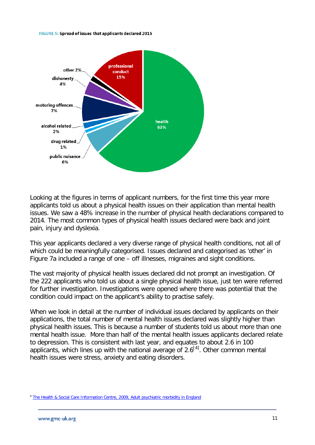#### FIGURE 5: Spread of issues that applicants declared 2015



Looking at the figures in terms of applicant numbers, for the first time this year more applicants told us about a physical health issues on their application than mental health issues. We saw a 48% increase in the number of physical health declarations compared to 2014. The most common types of physical health issues declared were back and joint pain, injury and dyslexia.

This year applicants declared a very diverse range of physical health conditions, not all of which could be meaningfully categorised. Issues declared and categorised as 'other' in Figure 7a included a range of one – off illnesses, migraines and sight conditions.

The vast majority of physical health issues declared did not prompt an investigation. Of the 222 applicants who told us about a single physical health issue, just ten were referred for further investigation. Investigations were opened where there was potential that the condition could impact on the applicant's ability to practise safely.

When we look in detail at the number of individual issues declared by applicants on their applications, the total number of mental health issues declared was slightly higher than physical health issues. This is because a number of students told us about more than one mental health issue. More than half of the mental health issues applicants declared relate to depression. This is consistent with last year, and equates to about 2.6 in 100 applicants, which lines up with the national average of  $2.6^{[4]}$  $2.6^{[4]}$  $2.6^{[4]}$ . Other common mental health issues were stress, anxiety and eating disorders.

<span id="page-13-0"></span><sup>4</sup> [The Health & Social Care Information Centre, 2009, Adult psychiatric morbidity in England](http://www.hscic.gov.uk/pubs/psychiatricmorbidity07)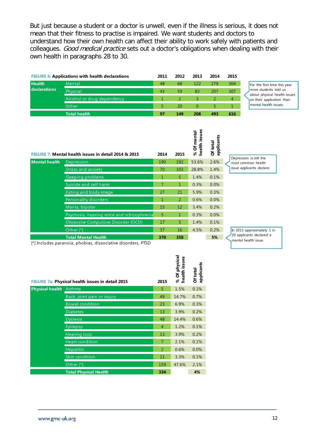But just because a student or a doctor is unwell, even if the illness is serious, it does not mean that their fitness to practise is impaired. We want students and doctors to understand how their own health can affect their ability to work safely with patients and colleagues. Good medical practice sets out a doctor's obligations when dealing with their own health in paragraphs 28 to 30.

|               | <b>FIGURE 6: Applications with health declarations</b> | 2011 | 2012 | 2013 | 2014 | 2015 |  |
|---------------|--------------------------------------------------------|------|------|------|------|------|--|
| <b>Health</b> | Mental                                                 | 48   | 68   | 122  | 279  | 304  |  |
| declarations  | Physical                                               | 43   | 59   | 83   | 207  | 307  |  |
|               | Alcohol or drug dependency                             |      |      |      |      | 4    |  |
|               | Other                                                  |      | 20   | 0    |      |      |  |
|               | <b>Total health</b>                                    | 97   | 149  | 208  | 493  | 616  |  |

For the first time this year more students told us about physical health issues on their application than mental health issues.

|               | FIGURE 7: Mental health issues in detail 2014 & 2015 | 2014 | 2015 | health issues<br>Of mental<br>Se | applicants<br>Of total |  |
|---------------|------------------------------------------------------|------|------|----------------------------------|------------------------|--|
| Mental health | Depression                                           | 190  | 192  | 53.6%                            | 2.6%                   |  |
|               | <b>Stress and anxiety</b>                            | 70   | 103  | 28.8%                            | 1.4%                   |  |
|               | Sleeping problems                                    | 1    | 5    | 1.4%                             | 0.1%                   |  |
|               | Suicide and self harm                                | 7    | 1    | 0.3%                             | 0.0%                   |  |
|               | Eating and body image                                | 27   | 21   | 5.9%                             | 0.3%                   |  |
|               | Personality disorders                                | 1    | 2    | 0.6%                             | 0.0%                   |  |
|               | Mania, bipolar                                       | 15   | 12   | 3.4%                             | 0.2%                   |  |
|               | Psychosis, hearing voice and schizophrenia           | 5    | 1    | 0.3%                             | 0.0%                   |  |
|               | <b>Obsessive Compulsive Disorder (OCD)</b>           | 17   | 5    | 1.4%                             | 0.1%                   |  |
|               | Other <sup>[*]</sup>                                 | 37   | 16   | 4.5%                             | 0.2%                   |  |
|               | <b>Total Mental Health</b>                           | 370  | 358  |                                  | 5%                     |  |

ក្ល ក្ល

Depression is still the most common health issue applicants declare.

[\*] Includes paranoia, phobias, dissociative disorders, PTSD

|                        | <b>FIGURE 7a: Physical health issues in detail 2015</b> | 2015           | Of physical<br>issues<br>% Of pl<br>health i | applicants<br>Of total |
|------------------------|---------------------------------------------------------|----------------|----------------------------------------------|------------------------|
| <b>Physical health</b> | Asthma                                                  | 5              | 1.5%                                         | 0.1%                   |
|                        | Back, joint pain or injury                              | 49             | 14.7%                                        | 0.7%                   |
|                        | <b>Bowel condition</b>                                  | 23             | 6.9%                                         | 0.3%                   |
|                        | <b>Diabetes</b>                                         | 13             | 3.9%                                         | 0.2%                   |
|                        | <b>Dyslexia</b>                                         | 48             | 14.4%                                        | 0.6%                   |
|                        | Epilepsy                                                | 4              | 1.2%                                         | 0.1%                   |
|                        | <b>Hearing Loss</b>                                     | 13             | 3.9%                                         | 0.2%                   |
|                        | <b>Heart condition</b>                                  | $\overline{7}$ | 2.1%                                         | 0.1%                   |
|                        | <b>Hepatitis</b>                                        | 2              | 0.6%                                         | 0.0%                   |
|                        | Skin condition                                          | 11             | 3.3%                                         | 0.1%                   |
|                        | Other <sup>[*]</sup>                                    | 159            | 47.6%                                        | 2.1%                   |
|                        | <b>Total Physical Health</b>                            | 334            |                                              | 4%                     |

In 2015 approximately 1 in 20 applicants declared a mental health issue.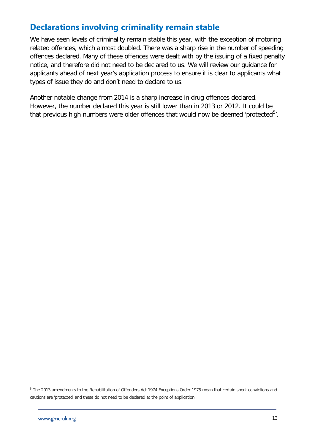#### <span id="page-15-0"></span>**Declarations involving criminality remain stable**

We have seen levels of criminality remain stable this year, with the exception of motoring related offences, which almost doubled. There was a sharp rise in the number of speeding offences declared. Many of these offences were dealt with by the issuing of a fixed penalty notice, and therefore did not need to be declared to us. We will review our guidance for applicants ahead of next year's application process to ensure it is clear to applicants what types of issue they do and don't need to declare to us.

Another notable change from 2014 is a sharp increase in drug offences declared. However, the number declared this year is still lower than in 2013 or 2012. It could be that previous high numbers were older offences that would now be deemed 'protected $5'$  $5'$ .

<span id="page-15-1"></span><sup>5</sup> The 2013 amendments to the Rehabilitation of Offenders Act 1974 Exceptions Order 1975 mean that certain spent convictions and cautions are 'protected' and these do not need to be declared at the point of application.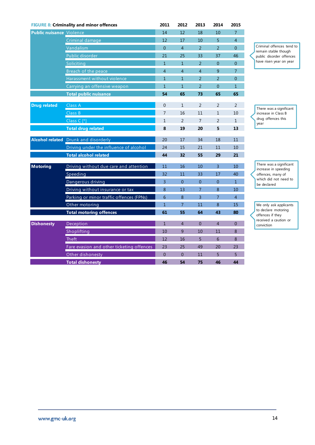| <b>FIGURE 8: Criminality and minor offences</b> |                                             | 2011           | 2012           | 2013           | 2014           | 2015             |                                                   |
|-------------------------------------------------|---------------------------------------------|----------------|----------------|----------------|----------------|------------------|---------------------------------------------------|
| <b>Public nuisance Violence</b>                 |                                             | 14             | 12             | 18             | 10             | 7 <sup>7</sup>   |                                                   |
|                                                 | Criminal damage                             | 12             | 17             | 10             | 5              | $\overline{4}$   |                                                   |
|                                                 | Vandalism                                   | $\overline{0}$ | $\overline{4}$ | $\overline{2}$ | $\overline{2}$ | $\boldsymbol{0}$ | Criminal offences tend to<br>remain stable though |
|                                                 | Public disorder                             | 21             | 25             | 33             | 37             | 46               | public disorder offences                          |
|                                                 | Soliciting                                  | $\mathbf{1}$   | $\mathbf{1}$   | 2              | $\overline{0}$ | $\overline{0}$   | have risen year on year                           |
|                                                 | Breach of the peace                         | $\overline{4}$ | $\overline{4}$ | $\overline{4}$ | 9              | $\overline{7}$   |                                                   |
|                                                 | Harassment without violence                 | $\mathbf{1}$   | $\mathbf{1}$   | 2              | 2              | $\overline{0}$   |                                                   |
|                                                 | Carrying an offensive weapon                | $\mathbf{1}$   | $\mathbf{1}$   | 2              | $\overline{0}$ | $\mathbf{1}$     |                                                   |
|                                                 | <b>Total public nuisance</b>                | 54             | 65             | 73             | 65             | 65               |                                                   |
| <b>Drug related</b>                             | Class A                                     | $\overline{0}$ | $\mathbf{1}$   | $\overline{2}$ | 2              | $\overline{2}$   |                                                   |
|                                                 | Class B                                     | $\overline{7}$ | 16             | 11             | $\mathbf{1}$   | 10               | There was a significant<br>increase in Class B    |
|                                                 | Class $C^*$ [*]                             | $\mathbf{1}$   | 2              | $\overline{7}$ | 2              | $\mathbf{1}$     | drug offences this                                |
|                                                 | <b>Total drug related</b>                   | 8              | 19             | 20             | 5              | 13               | year                                              |
|                                                 | <b>Alcohol related Drunk</b> and disorderly | 20             | 17             | 34             | 18             | 11               |                                                   |
|                                                 | Driving under the influence of alcohol      | 24             | 15             | 21             | 11             | 10               |                                                   |
|                                                 | <b>Total alcohol related</b>                | 44             | 32             | 55             | 29             | 21               |                                                   |
|                                                 |                                             |                |                |                |                |                  |                                                   |
| <b>Motoring</b>                                 | Driving without due care and attention      | 11             | 16             | 10             | $\overline{3}$ | 10               | There was a significant<br>increase in speeding   |
|                                                 | Speeding                                    | 32             | 11             | 33             | 17             | 40               | offences, many of                                 |
|                                                 | Dangerous driving                           | 3              | $\mathbf{0}$   | $\mathbf{0}$   | $\mathbf{0}$   | $\mathbf{1}$     | which did not need to<br>be declared              |
|                                                 | Driving without insurance or tax            | 8              | 13             | $\overline{7}$ | 8              | 10               |                                                   |
|                                                 | Parking or minor traffic offences (FPNs)    | 6              | 8              | $\overline{3}$ | $\overline{7}$ | $\overline{4}$   |                                                   |
|                                                 | Other motoring                              | $\mathbf{1}$   | $\overline{7}$ | 11             | 8              | 15               | We only ask applicants                            |
|                                                 | <b>Total motoring offences</b>              | 61             | 55             | 64             | 43             | 80               | to declare motoring<br>offences if they           |
| <b>Dishonesty</b>                               | Deception                                   | $\overline{1}$ | $\overline{4}$ | $\overline{0}$ | $\overline{4}$ | $\overline{0}$   | received a caution or<br>conviction               |
|                                                 | Shoplifting                                 | 10             | 9              | 10             | 11             | 8                |                                                   |
|                                                 | <b>Theft</b>                                | 12             | 16             | 5              | 6              | 8                |                                                   |
|                                                 | Fare evasion and other ticketing offences   | 23             | 25             | 49             | 20             | 23               |                                                   |
|                                                 | Other dishonesty                            | $\overline{0}$ | $\overline{0}$ | 11             | 5              | 5                |                                                   |
|                                                 | <b>Total dishonesty</b>                     | 46             | 54             | 75             | 46             | 44               |                                                   |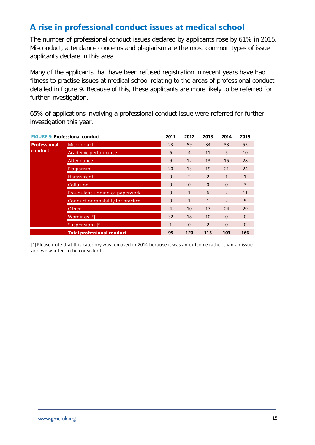#### <span id="page-17-0"></span>**A rise in professional conduct issues at medical school**

The number of professional conduct issues declared by applicants rose by 61% in 2015. Misconduct, attendance concerns and plagiarism are the most common types of issue applicants declare in this area.

Many of the applicants that have been refused registration in recent years have had fitness to practise issues at medical school relating to the areas of professional conduct detailed in figure 9. Because of this, these applicants are more likely to be referred for further investigation.

65% of applications involving a professional conduct issue were referred for further investigation this year.

|                     | <b>FIGURE 9: Professional conduct</b> | 2011           | 2012           | 2013         | 2014         | 2015     |
|---------------------|---------------------------------------|----------------|----------------|--------------|--------------|----------|
| <b>Professional</b> | <b>Misconduct</b>                     | 23             | 59             | 34           | 33           | 55       |
| conduct             | Academic performance                  | 6              | $\overline{4}$ | 11           | 5            | 10       |
|                     | Attendance                            | 9              | 12             | 13           | 15           | 28       |
|                     | <b>Plagiarism</b>                     | 20             | 13             | 19           | 21           | 24       |
|                     | Harassment                            | $\Omega$       | 2              | 2            | $\mathbf{1}$ | 1        |
|                     | Collusion                             | $\Omega$       | $\Omega$       | $\Omega$     | $\Omega$     | 3        |
|                     | Fraudulent signing of paperwork       | $\Omega$       | $\mathbf{1}$   | 6            | 2            | 11       |
|                     | Conduct or capability for practice    | $\Omega$       | $\mathbf{1}$   | $\mathbf{1}$ | 2            | 5        |
|                     | Other                                 | $\overline{4}$ | 10             | 17           | 24           | 29       |
|                     | Warnings [*]                          | 32             | 18             | 10           | $\Omega$     | $\Omega$ |
|                     | Suspensions [*]                       | 1              | $\Omega$       | 2            | $\Omega$     | $\Omega$ |
|                     | <b>Total professional conduct</b>     | 95             | 120            | 115          | 103          | 166      |

[\*] Please note that this category was removed in 2014 because it was an outcome rather than an issue and we wanted to be consistent.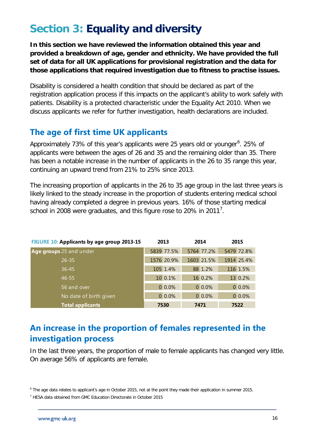# <span id="page-18-0"></span>**Section 3: Equality and diversity**

**In this section we have reviewed the information obtained this year and provided a breakdown of age, gender and ethnicity. We have provided the full set of data for all UK applications for provisional registration and the data for those applications that required investigation due to fitness to practise issues.**

Disability is considered a health condition that should be declared as part of the registration application process if this impacts on the applicant's ability to work safely with patients. Disability is a protected characteristic under the Equality Act 2010. When we discuss applicants we refer for further investigation, health declarations are included.

#### <span id="page-18-1"></span>**The age of first time UK applicants**

Approximately 73% of this year's applicants were 25 years old or younger<sup>[6](#page-18-3)</sup>. 25% of applicants were between the ages of 26 and 35 and the remaining older than 35. There has been a notable increase in the number of applicants in the 26 to 35 range this year, continuing an upward trend from 21% to 25% since 2013.

The increasing proportion of applicants in the 26 to 35 age group in the last three years is likely linked to the steady increase in the proportion of students entering medical school having already completed a degree in previous years. 16% of those starting medical school in 2008 were graduates, and this figure rose to 20% in 2011<sup>[7](#page-18-4)</sup>.

| FIGURE 10: Applicants by age group 2013-15 | 2013       | 2014       | 2015       |
|--------------------------------------------|------------|------------|------------|
| Age groups 25 and under                    | 5839 77.5% | 5764 77.2% | 5479 72.8% |
| $26 - 35$                                  | 1576 20.9% | 1603 21.5% | 1914 25.4% |
| $36 - 45$                                  | 105 1.4%   | 88 1.2%    | 116 1.5%   |
| $46 - 55$                                  | 10 0.1%    | 16 0.2%    | 13 0.2%    |
| 56 and over                                | $0.0\%$    | 0.0%       | $0.0\%$    |
| No date of birth given                     | 0.0%       | 0.0%       | $0.0\%$    |
| <b>Total applicants</b>                    | 7530       | 7471       | 7522       |

#### <span id="page-18-2"></span>**An increase in the proportion of females represented in the investigation process**

In the last three years, the proportion of male to female applicants has changed very little. On average 56% of applicants are female.

<span id="page-18-3"></span><sup>6</sup> The age data relates to applicant's age in October 2015, not at the point they made their application in summer 2015.

<span id="page-18-4"></span> $7$  HESA data obtained from GMC Education Directorate in October 2015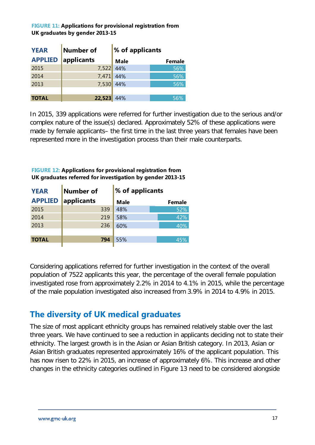#### **FIGURE 11: Applications for provisional registration from UK graduates by gender 2013-15**

| <b>YEAR</b>    | Number of  | % of applicants |               |
|----------------|------------|-----------------|---------------|
| <b>APPLIED</b> | applicants | <b>Male</b>     | <b>Female</b> |
| 2015           | 7,522      | 44%             | 56%           |
| 2014           | 7,471      | 44%             | 56%           |
| 2013           | 7,530      | 44%             | 56%           |
|                |            |                 |               |
| <b>TOTAL</b>   | 22,523     | 44%             | 56%           |

In 2015, 339 applications were referred for further investigation due to the serious and/or complex nature of the issue(s) declared. Approximately 52% of these applications were made by female applicants– the first time in the last three years that females have been represented more in the investigation process than their male counterparts.

#### **FIGURE 12: Applications for provisional registration from UK graduates referred for investigation by gender 2013-15**

 $\overline{\phantom{a}}$ 

| <b>YEAR</b>    | Number of  | % of applicants |               |
|----------------|------------|-----------------|---------------|
| <b>APPLIED</b> | applicants | <b>Male</b>     | <b>Female</b> |
| 2015           | 339        | 48%             | 52%           |
| 2014           | 219        | 58%             | 42%           |
| 2013           | 236        | 60%             | 40%           |
|                |            |                 |               |
| <b>TOTAL</b>   | 794        | 55%             | 45%           |
|                |            |                 |               |

Considering applications referred for further investigation in the context of the overall population of 7522 applicants this year, the percentage of the overall female population investigated rose from approximately 2.2% in 2014 to 4.1% in 2015, while the percentage of the male population investigated also increased from 3.9% in 2014 to 4.9% in 2015.

## <span id="page-19-0"></span>**The diversity of UK medical graduates**

The size of most applicant ethnicity groups has remained relatively stable over the last three years. We have continued to see a reduction in applicants deciding not to state their ethnicity. The largest growth is in the Asian or Asian British category. In 2013, Asian or Asian British graduates represented approximately 16% of the applicant population. This has now risen to 22% in 2015, an increase of approximately 6%. This increase and other changes in the ethnicity categories outlined in Figure 13 need to be considered alongside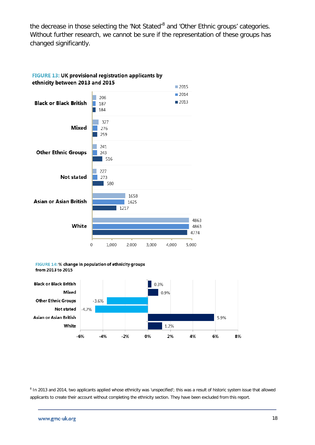the decrease in those selecting the 'Not Stated'<sup>[8](#page-20-0)</sup> and 'Other Ethnic groups' categories. Without further research, we cannot be sure if the representation of these groups has changed significantly.



# FIGURE 13: UK provisional registration applicants by

FIGURE 14: % change in population of ethnicity groups from 2013 to 2015



<span id="page-20-0"></span><sup>8</sup> In 2013 and 2014, two applicants applied whose ethnicity was 'unspecified'; this was a result of historic system issue that allowed applicants to create their account without completing the ethnicity section. They have been excluded from this report.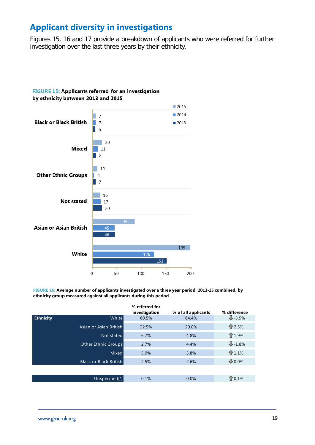#### <span id="page-21-0"></span>**Applicant diversity in investigations**

Figures 15, 16 and 17 provide a breakdown of applicants who were referred for further investigation over the last three years by their ethnicity.



**FIGURE 16: Average number of applicants investigated over a three year period, 2013-15 combined, by ethnicity group measured against all applicants during this period**

|                  |                               | % referred for<br>investigation | % of all applicants | % difference          |
|------------------|-------------------------------|---------------------------------|---------------------|-----------------------|
| <b>Ethnicity</b> | White                         | 60.5%                           | 64.4%               | $\frac{1}{2} - 3.9\%$ |
|                  | Asian or Asian British        | 22.5%                           | 20.0%               | ← 2.5%                |
|                  | Not stated                    | 6.7%                            | 4.8%                | ←1.9%                 |
|                  | <b>Other Ethnic Groups</b>    | 2.7%                            | 4.4%                | $\frac{1}{2}$ -1.8%   |
|                  | <b>Mixed</b>                  | 5.0%                            | 3.8%                | ←1.1%                 |
|                  | <b>Black or Black British</b> | 2.5%                            | 2.6%                | $0.0\%$               |
|                  |                               |                                 |                     |                       |
|                  | Unspecified <sup>[*]</sup>    | 0.1%                            | 0.0%                | 10.1%                 |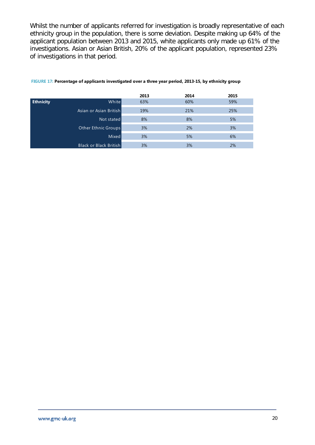Whilst the number of applicants referred for investigation is broadly representative of each ethnicity group in the population, there is some deviation. Despite making up 64% of the applicant population between 2013 and 2015, white applicants only made up 61% of the investigations. Asian or Asian British, 20% of the applicant population, represented 23% of investigations in that period.

|                  |                               | 2013 | 2014 | 2015 |
|------------------|-------------------------------|------|------|------|
| <b>Ethnicity</b> | Whitel                        | 63%  | 60%  | 59%  |
|                  | Asian or Asian British        | 19%  | 21%  | 25%  |
|                  | Not stated                    | 8%   | 8%   | 5%   |
|                  | Other Ethnic Groups           | 3%   | 2%   | 3%   |
|                  | <b>Mixed</b>                  | 3%   | 5%   | 6%   |
|                  | <b>Black or Black British</b> | 3%   | 3%   | 2%   |

#### **FIGURE 17: Percentage of applicants investigated over a three year period, 2013-15, by ethnicity group**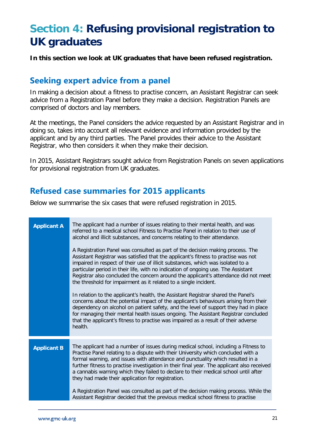# <span id="page-23-0"></span>**Section 4: Refusing provisional registration to UK graduates**

**In this section we look at UK graduates that have been refused registration.**

#### <span id="page-23-1"></span>**Seeking expert advice from a panel**

In making a decision about a fitness to practise concern, an Assistant Registrar can seek advice from a Registration Panel before they make a decision. Registration Panels are comprised of doctors and lay members.

At the meetings, the Panel considers the advice requested by an Assistant Registrar and in doing so, takes into account all relevant evidence and information provided by the applicant and by any third parties. The Panel provides their advice to the Assistant Registrar, who then considers it when they make their decision.

In 2015, Assistant Registrars sought advice from Registration Panels on seven applications for provisional registration from UK graduates.

#### <span id="page-23-2"></span>**Refused case summaries for 2015 applicants**

Below we summarise the six cases that were refused registration in 2015.

| <b>Applicant A</b> | The applicant had a number of issues relating to their mental health, and was<br>referred to a medical school Fitness to Practise Panel in relation to their use of<br>alcohol and illicit substances, and concerns relating to their attendance.<br>A Registration Panel was consulted as part of the decision making process. The<br>Assistant Registrar was satisfied that the applicant's fitness to practise was not<br>impaired in respect of their use of illicit substances, which was isolated to a<br>particular period in their life, with no indication of ongoing use. The Assistant<br>Registrar also concluded the concern around the applicant's attendance did not meet<br>the threshold for impairment as it related to a single incident.<br>In relation to the applicant's health, the Assistant Registrar shared the Panel's<br>concerns about the potential impact of the applicant's behaviours arising from their<br>dependency on alcohol on patient safety, and the level of support they had in place<br>for managing their mental health issues ongoing. The Assistant Registrar concluded<br>that the applicant's fitness to practise was impaired as a result of their adverse<br>health. |
|--------------------|-------------------------------------------------------------------------------------------------------------------------------------------------------------------------------------------------------------------------------------------------------------------------------------------------------------------------------------------------------------------------------------------------------------------------------------------------------------------------------------------------------------------------------------------------------------------------------------------------------------------------------------------------------------------------------------------------------------------------------------------------------------------------------------------------------------------------------------------------------------------------------------------------------------------------------------------------------------------------------------------------------------------------------------------------------------------------------------------------------------------------------------------------------------------------------------------------------------------------|
| <b>Applicant B</b> | The applicant had a number of issues during medical school, including a Fitness to<br>Practise Panel relating to a dispute with their University which concluded with a<br>formal warning, and issues with attendance and punctuality which resulted in a<br>further fitness to practise investigation in their final year. The applicant also received<br>a cannabis warning which they failed to declare to their medical school until after<br>they had made their application for registration.<br>A Registration Panel was consulted as part of the decision making process. While the<br>Assistant Registrar decided that the previous medical school fitness to practise                                                                                                                                                                                                                                                                                                                                                                                                                                                                                                                                         |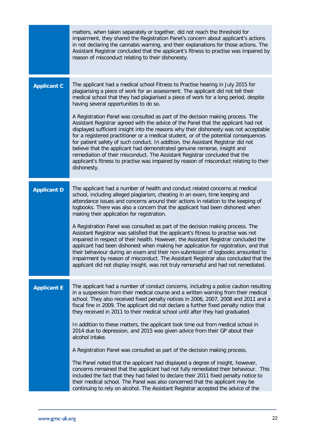|                    | matters, when taken separately or together, did not reach the threshold for<br>impairment, they shared the Registration Panel's concern about applicant's actions<br>in not declaring the cannabis warning, and their explanations for those actions. The<br>Assistant Registrar concluded that the applicant's fitness to practise was impaired by<br>reason of misconduct relating to their dishonesty.                                                                                                                                                                                                                                                                                                                                                                                                                                                                                                                                                                                                                                                                                                                                              |
|--------------------|--------------------------------------------------------------------------------------------------------------------------------------------------------------------------------------------------------------------------------------------------------------------------------------------------------------------------------------------------------------------------------------------------------------------------------------------------------------------------------------------------------------------------------------------------------------------------------------------------------------------------------------------------------------------------------------------------------------------------------------------------------------------------------------------------------------------------------------------------------------------------------------------------------------------------------------------------------------------------------------------------------------------------------------------------------------------------------------------------------------------------------------------------------|
| <b>Applicant C</b> | The applicant had a medical school Fitness to Practise hearing in July 2015 for<br>plagiarising a piece of work for an assessment. The applicant did not tell their<br>medical school that they had plagiarised a piece of work for a long period, despite<br>having several opportunities to do so.<br>A Registration Panel was consulted as part of the decision making process. The<br>Assistant Registrar agreed with the advice of the Panel that the applicant had not<br>displayed sufficient insight into the reasons why their dishonesty was not acceptable<br>for a registered practitioner or a medical student, or of the potential consequences<br>for patient safety of such conduct. In addition, the Assistant Registrar did not<br>believe that the applicant had demonstrated genuine remorse, insight and<br>remediation of their misconduct. The Assistant Registrar concluded that the<br>applicant's fitness to practise was impaired by reason of misconduct relating to their<br>dishonesty.                                                                                                                                  |
| <b>Applicant D</b> | The applicant had a number of health and conduct related concerns at medical<br>school, including alleged plagiarism, cheating in an exam, time keeping and<br>attendance issues and concerns around their actions in relation to the keeping of<br>logbooks. There was also a concern that the applicant had been dishonest when<br>making their application for registration.<br>A Registration Panel was consulted as part of the decision making process. The<br>Assistant Registrar was satisfied that the applicant's fitness to practise was not<br>impaired in respect of their health. However, the Assistant Registrar concluded the<br>applicant had been dishonest when making her application for registration, and that<br>their behaviour during an exam and their non-submission of logbooks amounted to<br>impairment by reason of misconduct. The Assistant Registrar also concluded that the<br>applicant did not display insight, was not truly remorseful and had not remediated.                                                                                                                                                 |
| <b>Applicant E</b> | The applicant had a number of conduct concerns, including a police caution resulting<br>in a suspension from their medical course and a written warning from their medical<br>school. They also received fixed penalty notices in 2006, 2007, 2008 and 2011 and a<br>fiscal fine in 2009. The applicant did not declare a further fixed penalty notice that<br>they received in 2011 to their medical school until after they had graduated.<br>In addition to these matters, the applicant took time out from medical school in<br>2014 due to depression, and 2015 was given advice from their GP about their<br>alcohol intake.<br>A Registration Panel was consulted as part of the decision making process.<br>The Panel noted that the applicant had displayed a degree of insight, however,<br>concerns remained that the applicant had not fully remediated their behaviour. This<br>included the fact that they had failed to declare their 2011 fixed penalty notice to<br>their medical school. The Panel was also concerned that the applicant may be<br>continuing to rely on alcohol. The Assistant Registrar accepted the advice of the |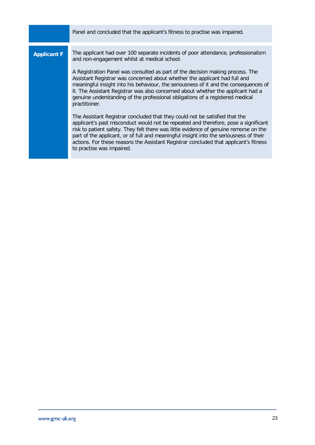|                    | Panel and concluded that the applicant's fitness to practise was impaired.                                                                                                                                                                                                                                                                                                                                                                                                                                                                                                      |
|--------------------|---------------------------------------------------------------------------------------------------------------------------------------------------------------------------------------------------------------------------------------------------------------------------------------------------------------------------------------------------------------------------------------------------------------------------------------------------------------------------------------------------------------------------------------------------------------------------------|
| <b>Applicant F</b> | The applicant had over 100 separate incidents of poor attendance, professionalism<br>and non-engagement whilst at medical school.<br>A Registration Panel was consulted as part of the decision making process. The<br>Assistant Registrar was concerned about whether the applicant had full and<br>meaningful insight into his behaviour, the seriousness of it and the consequences of<br>it. The Assistant Registrar was also concerned about whether the applicant had a<br>genuine understanding of the professional obligations of a registered medical<br>practitioner. |
|                    | The Assistant Registrar concluded that they could not be satisfied that the<br>applicant's past misconduct would not be repeated and therefore, pose a significant<br>risk to patient safety. They felt there was little evidence of genuine remorse on the<br>part of the applicant, or of full and meaningful insight into the seriousness of their<br>actions. For these reasons the Assistant Registrar concluded that applicant's fitness<br>to practise was impaired.                                                                                                     |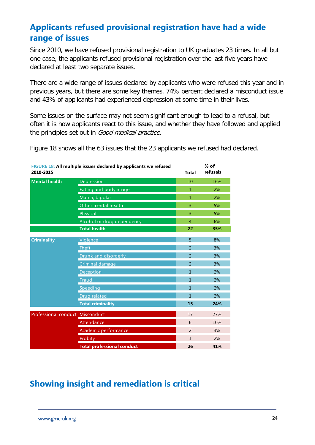## <span id="page-26-0"></span>**Applicants refused provisional registration have had a wide range of issues**

Since 2010, we have refused provisional registration to UK graduates 23 times. In all but one case, the applicants refused provisional registration over the last five years have declared at least two separate issues.

There are a wide range of issues declared by applicants who were refused this year and in previous years, but there are some key themes. 74% percent declared a misconduct issue and 43% of applicants had experienced depression at some time in their lives.

Some issues on the surface may not seem significant enough to lead to a refusal, but often it is how applicants react to this issue, and whether they have followed and applied the principles set out in Good medical practice.

Figure 18 shows all the 63 issues that the 23 applicants we refused had declared.

| FIGURE 18: All multiple issues declared by applicants we refused<br>2010-2015 |                                   | <b>Total</b>             | $%$ of<br>refusals |
|-------------------------------------------------------------------------------|-----------------------------------|--------------------------|--------------------|
| <b>Mental health</b>                                                          | Depression                        | 10                       | 16%                |
|                                                                               | Eating and body image             | $\mathbf{1}$             | 2%                 |
|                                                                               | Mania, bipolar                    | $\mathbf{1}$             | 2%                 |
|                                                                               | Other mental health               | 3                        | 5%                 |
|                                                                               | Physical                          | 3                        | 5%                 |
|                                                                               | Alcohol or drug dependency        | $\overline{4}$           | 6%                 |
|                                                                               | <b>Total health</b>               | 22                       | 35%                |
| <b>Criminality</b>                                                            | Violence                          | 5                        | 8%                 |
|                                                                               | Theft                             | $\overline{2}$           | 3%                 |
|                                                                               | Drunk and disorderly              | $\overline{2}$           | 3%                 |
|                                                                               | Criminal damage                   | $\mathcal{P}$            | 3%                 |
|                                                                               | Deception                         | $\mathbf{1}$             | 2%                 |
|                                                                               | Fraud                             | $\mathbf{1}$             | 2%                 |
|                                                                               | Speeding                          | $\mathbf{1}$             | 2%                 |
|                                                                               | Drug related                      | $\mathbf{1}$             | 2%                 |
|                                                                               | <b>Total criminality</b>          | 15                       | 24%                |
| Professional conduct Misconduct                                               |                                   | 17                       | 27%                |
|                                                                               | Attendance                        | 6                        | 10%                |
|                                                                               | Academic performance              | $\overline{\phantom{0}}$ | 3%                 |
|                                                                               | Probity                           | $\mathbf{1}$             | 2%                 |
|                                                                               | <b>Total professional conduct</b> | 26                       | 41%                |

#### <span id="page-26-1"></span>**Showing insight and remediation is critical**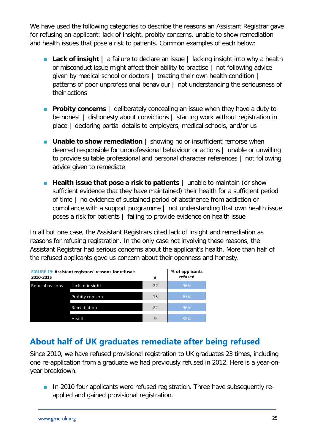We have used the following categories to describe the reasons an Assistant Registrar gave for refusing an applicant: lack of insight, probity concerns, unable to show remediation and health issues that pose a risk to patients. Common examples of each below:

- **Lack of insight |** a failure to declare an issue **|** lacking insight into why a health or misconduct issue might affect their ability to practise **|** not following advice given by medical school or doctors **|** treating their own health condition **|** patterns of poor unprofessional behaviour **|** not understanding the seriousness of their actions
- **Probity concerns** | deliberately concealing an issue when they have a duty to be honest **|** dishonesty about convictions **|** starting work without registration in place **|** declaring partial details to employers, medical schools, and/or us
- **Unable to show remediation |** showing no or insufficient remorse when deemed responsible for unprofessional behaviour or actions **|** unable or unwilling to provide suitable professional and personal character references **|** not following advice given to remediate
- **Health issue that pose a risk to patients** I unable to maintain (or show sufficient evidence that they have maintained) their health for a sufficient period of time **|** no evidence of sustained period of abstinence from addiction or compliance with a support programme **|** not understanding that own health issue poses a risk for patients **|** failing to provide evidence on health issue

In all but one case, the Assistant Registrars cited lack of insight and remediation as reasons for refusing registration. In the only case not involving these reasons, the Assistant Registrar had serious concerns about the applicant's health. More than half of the refused applicants gave us concern about their openness and honesty.

| <b>FIGURE 19: Assistant registrars' reasons for refusals</b><br>2010-2015 |                 | #  | % of applicants<br>refused |
|---------------------------------------------------------------------------|-----------------|----|----------------------------|
| Refusal reasons                                                           | Lack of insight | 22 | 96%                        |
|                                                                           | Probity concern | 15 | 65%                        |
|                                                                           | Remediation     | 22 | 96%                        |
|                                                                           | Health          | 9  | 39%                        |

#### <span id="page-27-0"></span>**About half of UK graduates remediate after being refused**

Since 2010, we have refused provisional registration to UK graduates 23 times, including one re-application from a graduate we had previously refused in 2012. Here is a year-onyear breakdown:

In 2010 four applicants were refused registration. Three have subsequently reapplied and gained provisional registration.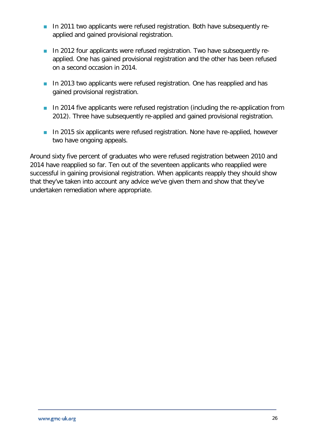- In 2011 two applicants were refused registration. Both have subsequently reapplied and gained provisional registration.
- In 2012 four applicants were refused registration. Two have subsequently reapplied. One has gained provisional registration and the other has been refused on a second occasion in 2014.
- In 2013 two applicants were refused registration. One has reapplied and has gained provisional registration.
- **In 2014 five applicants were refused registration (including the re-application from** 2012). Three have subsequently re-applied and gained provisional registration.
- **In 2015 six applicants were refused registration. None have re-applied, however** two have ongoing appeals.

Around sixty five percent of graduates who were refused registration between 2010 and 2014 have reapplied so far. Ten out of the seventeen applicants who reapplied were successful in gaining provisional registration. When applicants reapply they should show that they've taken into account any advice we've given them and show that they've undertaken remediation where appropriate.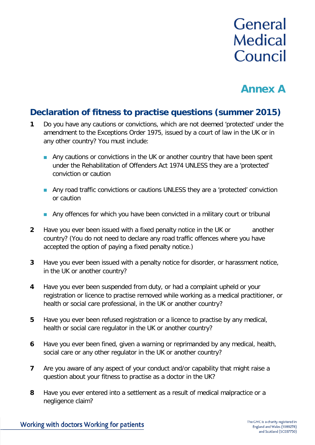# **General Medical** Council

# **Annex A**

#### **Declaration of fitness to practise questions (summer 2015)**

- **1** Do you have any cautions or convictions, which are not deemed 'protected' under the amendment to the Exceptions Order 1975, issued by a court of law in the UK or in any other country? You must include:
	- **Any cautions or convictions in the UK or another country that have been spent** under the Rehabilitation of Offenders Act 1974 UNLESS they are a 'protected' conviction or caution
	- **Any road traffic convictions or cautions UNLESS they are a 'protected' conviction** or caution
	- Any offences for which you have been convicted in a military court or tribunal
- **2** Have you ever been issued with a fixed penalty notice in the UK or another country? (You do not need to declare any road traffic offences where you have accepted the option of paying a fixed penalty notice.)
- **3** Have you ever been issued with a penalty notice for disorder, or harassment notice, in the UK or another country?
- **4** Have you ever been suspended from duty, or had a complaint upheld or your registration or licence to practise removed while working as a medical practitioner, or health or social care professional, in the UK or another country?
- **5** Have you ever been refused registration or a licence to practise by any medical, health or social care regulator in the UK or another country?
- **6** Have you ever been fined, given a warning or reprimanded by any medical, health, social care or any other regulator in the UK or another country?
- **7** Are you aware of any aspect of your conduct and/or capability that might raise a question about your fitness to practise as a doctor in the UK?
- **8** Have you ever entered into a settlement as a result of medical malpractice or a negligence claim?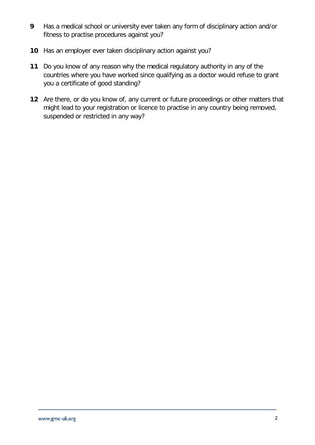- **9** Has a medical school or university ever taken any form of disciplinary action and/or fitness to practise procedures against you?
- **10** Has an employer ever taken disciplinary action against you?
- **11** Do you know of any reason why the medical regulatory authority in any of the countries where you have worked since qualifying as a doctor would refuse to grant you a certificate of good standing?
- **12** Are there, or do you know of, any current or future proceedings or other matters that might lead to your registration or licence to practise in any country being removed, suspended or restricted in any way?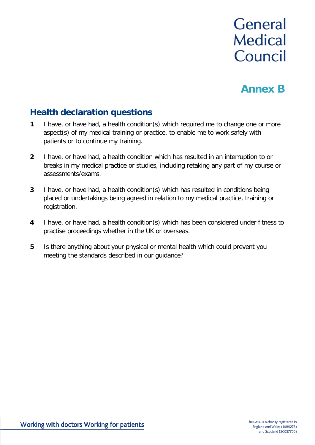# **General Medical** Council

# **Annex B**

#### **Health declaration questions**

- **1** I have, or have had, a health condition(s) which required me to change one or more aspect(s) of my medical training or practice, to enable me to work safely with patients or to continue my training.
- **2** I have, or have had, a health condition which has resulted in an interruption to or breaks in my medical practice or studies, including retaking any part of my course or assessments/exams.
- **3** I have, or have had, a health condition(s) which has resulted in conditions being placed or undertakings being agreed in relation to my medical practice, training or registration.
- **4** I have, or have had, a health condition(s) which has been considered under fitness to practise proceedings whether in the UK or overseas.
- **5** Is there anything about your physical or mental health which could prevent you meeting the standards described in our guidance?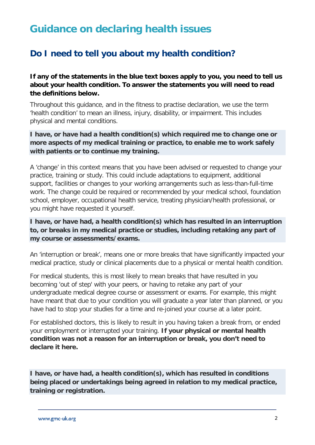## **Guidance on declaring health issues**

### **Do I need to tell you about my health condition?**

**If any of the statements in the blue text boxes apply to you, you need to tell us about your health condition. To answer the statements you will need to read the definitions below.**

Throughout this guidance, and in the fitness to practise declaration, we use the term 'health condition' to mean an illness, injury, disability, or impairment. This includes physical and mental conditions.

#### **I have, or have had a health condition(s) which required me to change one or more aspects of my medical training or practice, to enable me to work safely with patients or to continue my training.**

A 'change' in this context means that you have been advised or requested to change your practice, training or study. This could include adaptations to equipment, additional support, facilities or changes to your working arrangements such as less-than-full-time work. The change could be required or recommended by your medical school, foundation school, employer, occupational health service, treating physician/health professional, or you might have requested it yourself.

#### **I have, or have had, a health condition(s) which has resulted in an interruption to, or breaks in my medical practice or studies, including retaking any part of my course or assessments/exams.**

An 'interruption or break', means one or more breaks that have significantly impacted your medical practice, study or clinical placements due to a physical or mental health condition.

For medical students, this is most likely to mean breaks that have resulted in you becoming 'out of step' with your peers, or having to retake any part of your undergraduate medical degree course or assessment or exams. For example, this might have meant that due to your condition you will graduate a year later than planned, or you have had to stop your studies for a time and re-joined your course at a later point.

For established doctors, this is likely to result in you having taken a break from, or ended your employment or interrupted your training. **If your physical or mental health condition was not a reason for an interruption or break, you don't need to declare it here.**

**I have, or have had, a health condition(s), which has resulted in conditions being placed or undertakings being agreed in relation to my medical practice, training or registration.**